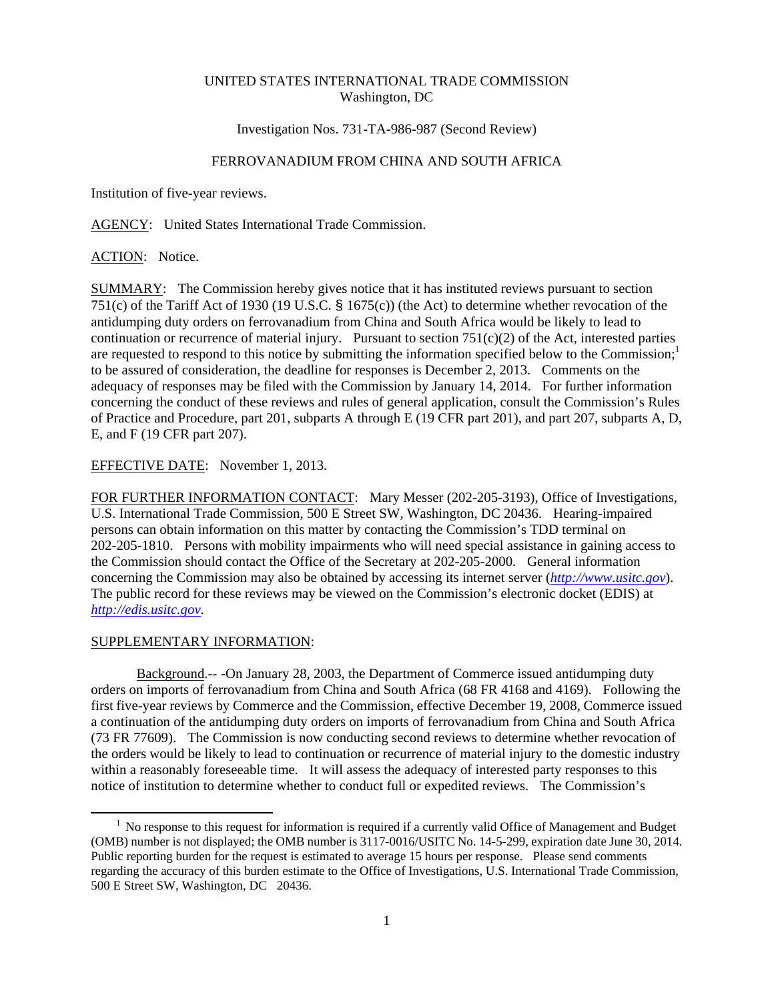### UNITED STATES INTERNATIONAL TRADE COMMISSION Washington, DC

#### Investigation Nos. 731-TA-986-987 (Second Review)

## FERROVANADIUM FROM CHINA AND SOUTH AFRICA

Institution of five-year reviews.

AGENCY: United States International Trade Commission.

#### ACTION: Notice.

SUMMARY: The Commission hereby gives notice that it has instituted reviews pursuant to section 751(c) of the Tariff Act of 1930 (19 U.S.C. § 1675(c)) (the Act) to determine whether revocation of the antidumping duty orders on ferrovanadium from China and South Africa would be likely to lead to continuation or recurrence of material injury. Pursuant to section  $751(c)(2)$  of the Act, interested parties are requested to respond to this notice by submitting the information specified below to the Commission; $<sup>1</sup>$ </sup> to be assured of consideration, the deadline for responses is December 2, 2013. Comments on the adequacy of responses may be filed with the Commission by January 14, 2014. For further information concerning the conduct of these reviews and rules of general application, consult the Commission's Rules of Practice and Procedure, part 201, subparts A through E (19 CFR part 201), and part 207, subparts A, D, E, and F (19 CFR part 207).

# EFFECTIVE DATE: November 1, 2013.

FOR FURTHER INFORMATION CONTACT: Mary Messer (202-205-3193), Office of Investigations, U.S. International Trade Commission, 500 E Street SW, Washington, DC 20436. Hearing-impaired persons can obtain information on this matter by contacting the Commission's TDD terminal on 202-205-1810. Persons with mobility impairments who will need special assistance in gaining access to the Commission should contact the Office of the Secretary at 202-205-2000. General information concerning the Commission may also be obtained by accessing its internet server (*http://www.usitc.gov*). The public record for these reviews may be viewed on the Commission's electronic docket (EDIS) at *http://edis.usitc.gov*.

#### SUPPLEMENTARY INFORMATION:

 $\overline{a}$ 

Background.-- -On January 28, 2003, the Department of Commerce issued antidumping duty orders on imports of ferrovanadium from China and South Africa (68 FR 4168 and 4169). Following the first five-year reviews by Commerce and the Commission, effective December 19, 2008, Commerce issued a continuation of the antidumping duty orders on imports of ferrovanadium from China and South Africa (73 FR 77609). The Commission is now conducting second reviews to determine whether revocation of the orders would be likely to lead to continuation or recurrence of material injury to the domestic industry within a reasonably foreseeable time. It will assess the adequacy of interested party responses to this notice of institution to determine whether to conduct full or expedited reviews. The Commission's

<sup>&</sup>lt;sup>1</sup> No response to this request for information is required if a currently valid Office of Management and Budget (OMB) number is not displayed; the OMB number is 3117-0016/USITC No. 14-5-299, expiration date June 30, 2014. Public reporting burden for the request is estimated to average 15 hours per response. Please send comments regarding the accuracy of this burden estimate to the Office of Investigations, U.S. International Trade Commission, 500 E Street SW, Washington, DC 20436.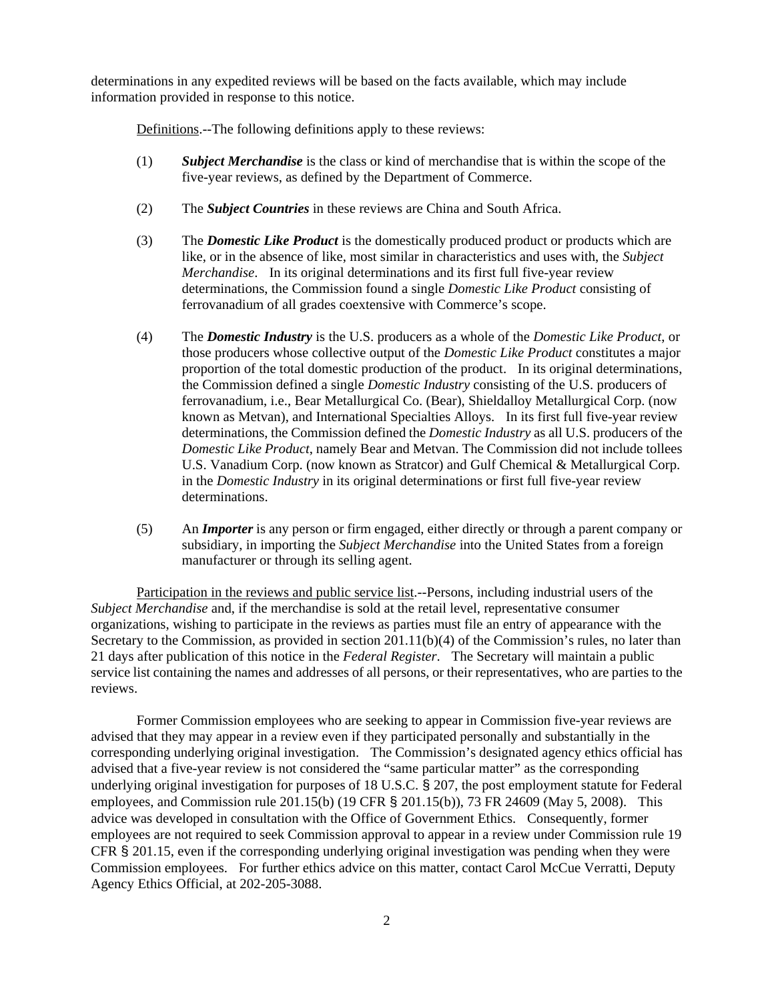determinations in any expedited reviews will be based on the facts available, which may include information provided in response to this notice.

Definitions.--The following definitions apply to these reviews:

- (1) *Subject Merchandise* is the class or kind of merchandise that is within the scope of the five-year reviews, as defined by the Department of Commerce.
- (2) The *Subject Countries* in these reviews are China and South Africa.
- (3) The *Domestic Like Product* is the domestically produced product or products which are like, or in the absence of like, most similar in characteristics and uses with, the *Subject Merchandise*. In its original determinations and its first full five-year review determinations, the Commission found a single *Domestic Like Product* consisting of ferrovanadium of all grades coextensive with Commerce's scope.
- (4) The *Domestic Industry* is the U.S. producers as a whole of the *Domestic Like Product*, or those producers whose collective output of the *Domestic Like Product* constitutes a major proportion of the total domestic production of the product. In its original determinations, the Commission defined a single *Domestic Industry* consisting of the U.S. producers of ferrovanadium, i.e., Bear Metallurgical Co. (Bear), Shieldalloy Metallurgical Corp. (now known as Metvan), and International Specialties Alloys. In its first full five-year review determinations, the Commission defined the *Domestic Industry* as all U.S. producers of the *Domestic Like Product*, namely Bear and Metvan. The Commission did not include tollees U.S. Vanadium Corp. (now known as Stratcor) and Gulf Chemical & Metallurgical Corp. in the *Domestic Industry* in its original determinations or first full five-year review determinations.
- (5) An *Importer* is any person or firm engaged, either directly or through a parent company or subsidiary, in importing the *Subject Merchandise* into the United States from a foreign manufacturer or through its selling agent.

Participation in the reviews and public service list.--Persons, including industrial users of the *Subject Merchandise* and, if the merchandise is sold at the retail level, representative consumer organizations, wishing to participate in the reviews as parties must file an entry of appearance with the Secretary to the Commission, as provided in section 201.11(b)(4) of the Commission's rules, no later than 21 days after publication of this notice in the *Federal Register*. The Secretary will maintain a public service list containing the names and addresses of all persons, or their representatives, who are parties to the reviews.

Former Commission employees who are seeking to appear in Commission five-year reviews are advised that they may appear in a review even if they participated personally and substantially in the corresponding underlying original investigation. The Commission's designated agency ethics official has advised that a five-year review is not considered the "same particular matter" as the corresponding underlying original investigation for purposes of 18 U.S.C. § 207, the post employment statute for Federal employees, and Commission rule 201.15(b) (19 CFR § 201.15(b)), 73 FR 24609 (May 5, 2008). This advice was developed in consultation with the Office of Government Ethics. Consequently, former employees are not required to seek Commission approval to appear in a review under Commission rule 19 CFR § 201.15, even if the corresponding underlying original investigation was pending when they were Commission employees. For further ethics advice on this matter, contact Carol McCue Verratti, Deputy Agency Ethics Official, at 202-205-3088.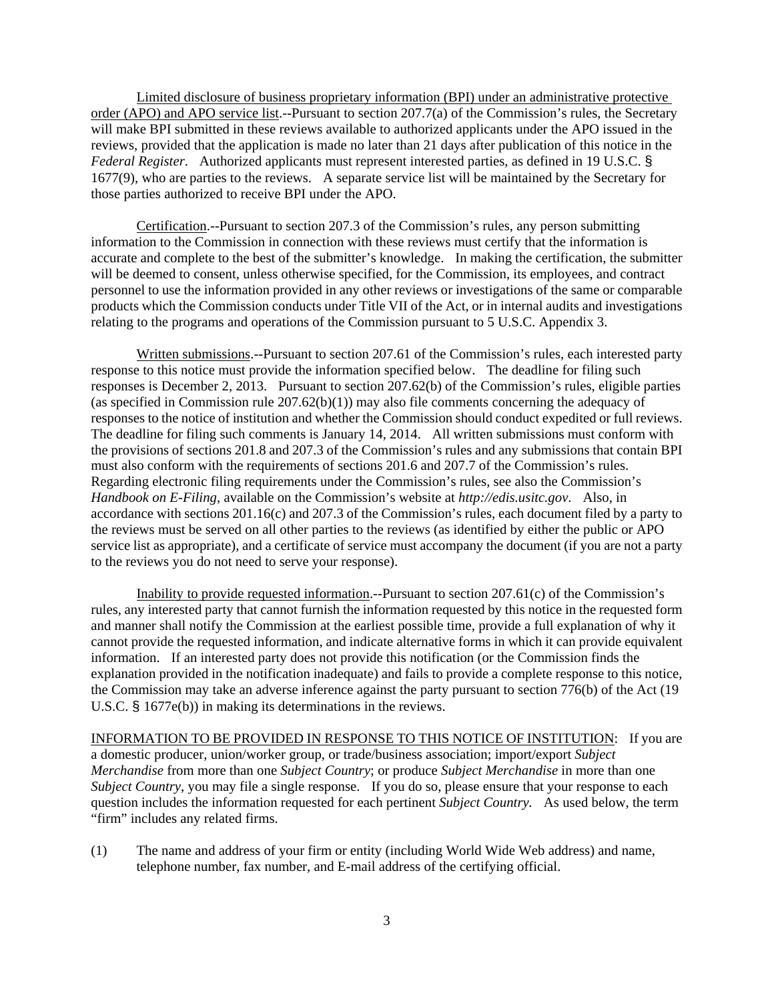Limited disclosure of business proprietary information (BPI) under an administrative protective order (APO) and APO service list.--Pursuant to section 207.7(a) of the Commission's rules, the Secretary will make BPI submitted in these reviews available to authorized applicants under the APO issued in the reviews, provided that the application is made no later than 21 days after publication of this notice in the *Federal Register*. Authorized applicants must represent interested parties, as defined in 19 U.S.C. § 1677(9), who are parties to the reviews. A separate service list will be maintained by the Secretary for those parties authorized to receive BPI under the APO.

Certification.--Pursuant to section 207.3 of the Commission's rules, any person submitting information to the Commission in connection with these reviews must certify that the information is accurate and complete to the best of the submitter's knowledge. In making the certification, the submitter will be deemed to consent, unless otherwise specified, for the Commission, its employees, and contract personnel to use the information provided in any other reviews or investigations of the same or comparable products which the Commission conducts under Title VII of the Act, or in internal audits and investigations relating to the programs and operations of the Commission pursuant to 5 U.S.C. Appendix 3.

Written submissions.--Pursuant to section 207.61 of the Commission's rules, each interested party response to this notice must provide the information specified below. The deadline for filing such responses is December 2, 2013. Pursuant to section 207.62(b) of the Commission's rules, eligible parties (as specified in Commission rule  $207.62(b)(1)$ ) may also file comments concerning the adequacy of responses to the notice of institution and whether the Commission should conduct expedited or full reviews. The deadline for filing such comments is January 14, 2014. All written submissions must conform with the provisions of sections 201.8 and 207.3 of the Commission's rules and any submissions that contain BPI must also conform with the requirements of sections 201.6 and 207.7 of the Commission's rules. Regarding electronic filing requirements under the Commission's rules, see also the Commission's *Handbook on E-Filing*, available on the Commission's website at *http://edis.usitc.gov*. Also, in accordance with sections 201.16(c) and 207.3 of the Commission's rules, each document filed by a party to the reviews must be served on all other parties to the reviews (as identified by either the public or APO service list as appropriate), and a certificate of service must accompany the document (if you are not a party to the reviews you do not need to serve your response).

Inability to provide requested information.--Pursuant to section 207.61(c) of the Commission's rules, any interested party that cannot furnish the information requested by this notice in the requested form and manner shall notify the Commission at the earliest possible time, provide a full explanation of why it cannot provide the requested information, and indicate alternative forms in which it can provide equivalent information. If an interested party does not provide this notification (or the Commission finds the explanation provided in the notification inadequate) and fails to provide a complete response to this notice, the Commission may take an adverse inference against the party pursuant to section 776(b) of the Act (19 U.S.C. § 1677e(b)) in making its determinations in the reviews.

INFORMATION TO BE PROVIDED IN RESPONSE TO THIS NOTICE OF INSTITUTION: If you are a domestic producer, union/worker group, or trade/business association; import/export *Subject Merchandise* from more than one *Subject Country*; or produce *Subject Merchandise* in more than one *Subject Country*, you may file a single response. If you do so, please ensure that your response to each question includes the information requested for each pertinent *Subject Country.* As used below, the term "firm" includes any related firms.

(1) The name and address of your firm or entity (including World Wide Web address) and name, telephone number, fax number, and E-mail address of the certifying official.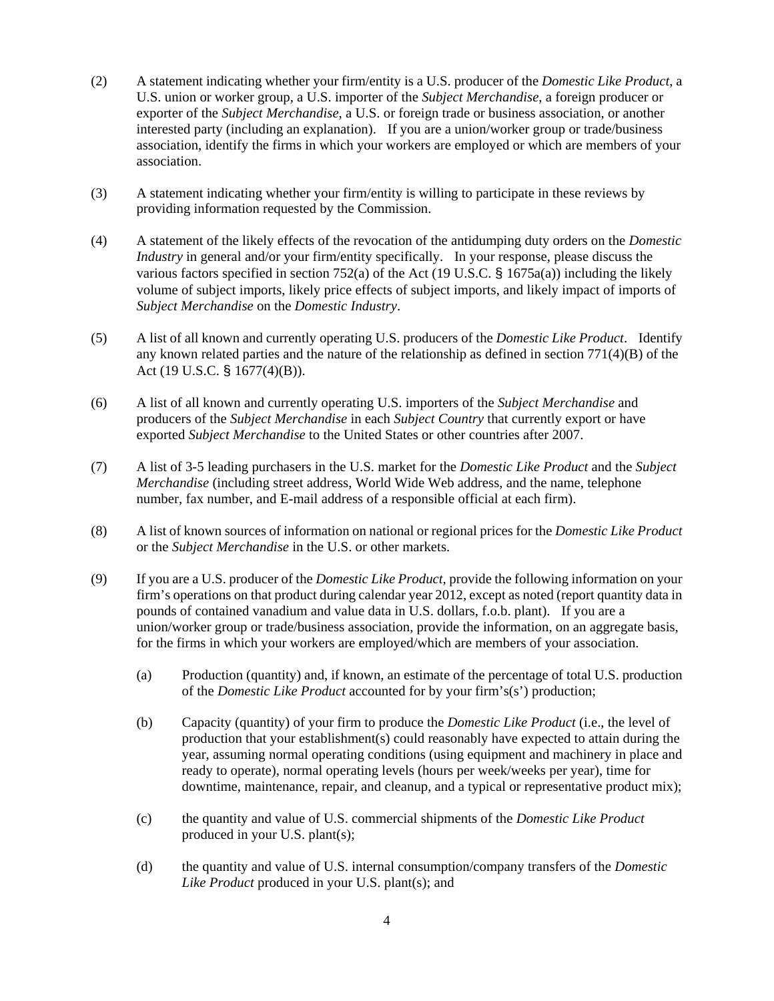- (2) A statement indicating whether your firm/entity is a U.S. producer of the *Domestic Like Product*, a U.S. union or worker group, a U.S. importer of the *Subject Merchandise*, a foreign producer or exporter of the *Subject Merchandise*, a U.S. or foreign trade or business association, or another interested party (including an explanation). If you are a union/worker group or trade/business association, identify the firms in which your workers are employed or which are members of your association.
- (3) A statement indicating whether your firm/entity is willing to participate in these reviews by providing information requested by the Commission.
- (4) A statement of the likely effects of the revocation of the antidumping duty orders on the *Domestic Industry* in general and/or your firm/entity specifically. In your response, please discuss the various factors specified in section 752(a) of the Act (19 U.S.C. § 1675a(a)) including the likely volume of subject imports, likely price effects of subject imports, and likely impact of imports of *Subject Merchandise* on the *Domestic Industry*.
- (5) A list of all known and currently operating U.S. producers of the *Domestic Like Product*. Identify any known related parties and the nature of the relationship as defined in section 771(4)(B) of the Act (19 U.S.C. § 1677(4)(B)).
- (6) A list of all known and currently operating U.S. importers of the *Subject Merchandise* and producers of the *Subject Merchandise* in each *Subject Country* that currently export or have exported *Subject Merchandise* to the United States or other countries after 2007.
- (7) A list of 3-5 leading purchasers in the U.S. market for the *Domestic Like Product* and the *Subject Merchandise* (including street address, World Wide Web address, and the name, telephone number, fax number, and E-mail address of a responsible official at each firm).
- (8) A list of known sources of information on national or regional prices for the *Domestic Like Product* or the *Subject Merchandise* in the U.S. or other markets.
- (9) If you are a U.S. producer of the *Domestic Like Product*, provide the following information on your firm's operations on that product during calendar year 2012, except as noted (report quantity data in pounds of contained vanadium and value data in U.S. dollars, f.o.b. plant). If you are a union/worker group or trade/business association, provide the information, on an aggregate basis, for the firms in which your workers are employed/which are members of your association.
	- (a) Production (quantity) and, if known, an estimate of the percentage of total U.S. production of the *Domestic Like Product* accounted for by your firm's(s') production;
	- (b) Capacity (quantity) of your firm to produce the *Domestic Like Product* (i.e., the level of production that your establishment(s) could reasonably have expected to attain during the year, assuming normal operating conditions (using equipment and machinery in place and ready to operate), normal operating levels (hours per week/weeks per year), time for downtime, maintenance, repair, and cleanup, and a typical or representative product mix);
	- (c) the quantity and value of U.S. commercial shipments of the *Domestic Like Product* produced in your U.S. plant(s);
	- (d) the quantity and value of U.S. internal consumption/company transfers of the *Domestic Like Product* produced in your U.S. plant(s); and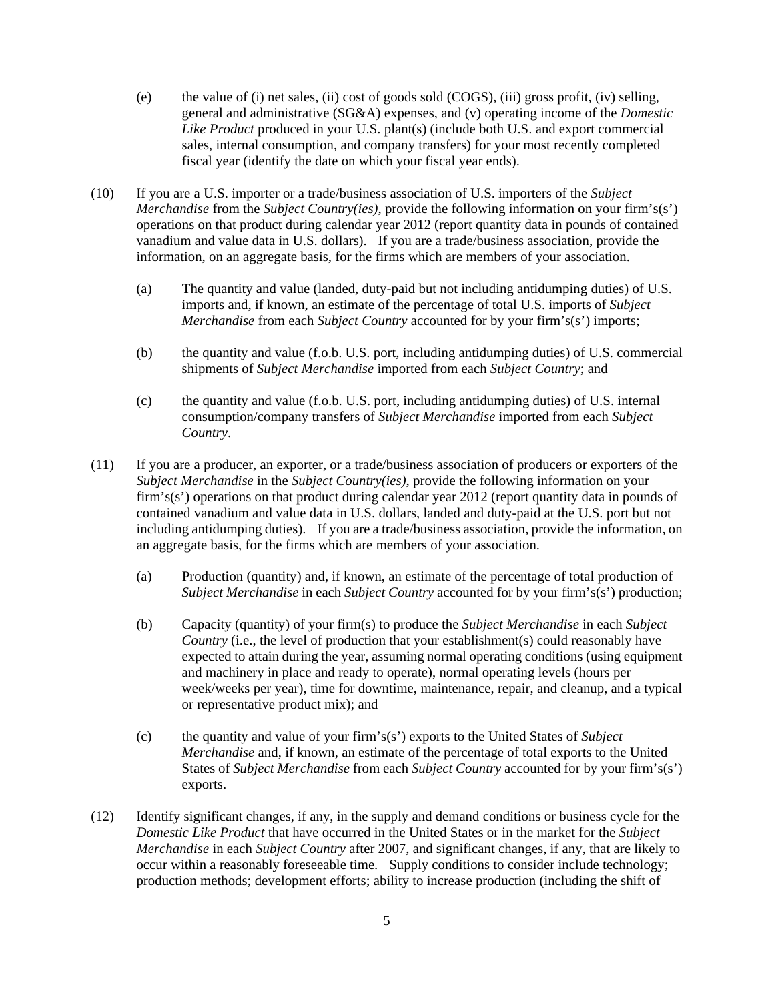- (e) the value of (i) net sales, (ii) cost of goods sold (COGS), (iii) gross profit, (iv) selling, general and administrative (SG&A) expenses, and (v) operating income of the *Domestic Like Product* produced in your U.S. plant(s) (include both U.S. and export commercial sales, internal consumption, and company transfers) for your most recently completed fiscal year (identify the date on which your fiscal year ends).
- (10) If you are a U.S. importer or a trade/business association of U.S. importers of the *Subject Merchandise* from the *Subject Country(ies)*, provide the following information on your firm's(s') operations on that product during calendar year 2012 (report quantity data in pounds of contained vanadium and value data in U.S. dollars). If you are a trade/business association, provide the information, on an aggregate basis, for the firms which are members of your association.
	- (a) The quantity and value (landed, duty-paid but not including antidumping duties) of U.S. imports and, if known, an estimate of the percentage of total U.S. imports of *Subject Merchandise* from each *Subject Country* accounted for by your firm's(s') imports;
	- (b) the quantity and value (f.o.b. U.S. port, including antidumping duties) of U.S. commercial shipments of *Subject Merchandise* imported from each *Subject Country*; and
	- (c) the quantity and value (f.o.b. U.S. port, including antidumping duties) of U.S. internal consumption/company transfers of *Subject Merchandise* imported from each *Subject Country*.
- (11) If you are a producer, an exporter, or a trade/business association of producers or exporters of the *Subject Merchandise* in the *Subject Country(ies)*, provide the following information on your firm's(s') operations on that product during calendar year 2012 (report quantity data in pounds of contained vanadium and value data in U.S. dollars, landed and duty-paid at the U.S. port but not including antidumping duties). If you are a trade/business association, provide the information, on an aggregate basis, for the firms which are members of your association.
	- (a) Production (quantity) and, if known, an estimate of the percentage of total production of *Subject Merchandise* in each *Subject Country* accounted for by your firm's(s') production;
	- (b) Capacity (quantity) of your firm(s) to produce the *Subject Merchandise* in each *Subject Country* (i.e., the level of production that your establishment(s) could reasonably have expected to attain during the year, assuming normal operating conditions (using equipment and machinery in place and ready to operate), normal operating levels (hours per week/weeks per year), time for downtime, maintenance, repair, and cleanup, and a typical or representative product mix); and
	- (c) the quantity and value of your firm's(s') exports to the United States of *Subject Merchandise* and, if known, an estimate of the percentage of total exports to the United States of *Subject Merchandise* from each *Subject Country* accounted for by your firm's(s') exports.
- (12) Identify significant changes, if any, in the supply and demand conditions or business cycle for the *Domestic Like Product* that have occurred in the United States or in the market for the *Subject Merchandise* in each *Subject Country* after 2007, and significant changes, if any, that are likely to occur within a reasonably foreseeable time. Supply conditions to consider include technology; production methods; development efforts; ability to increase production (including the shift of